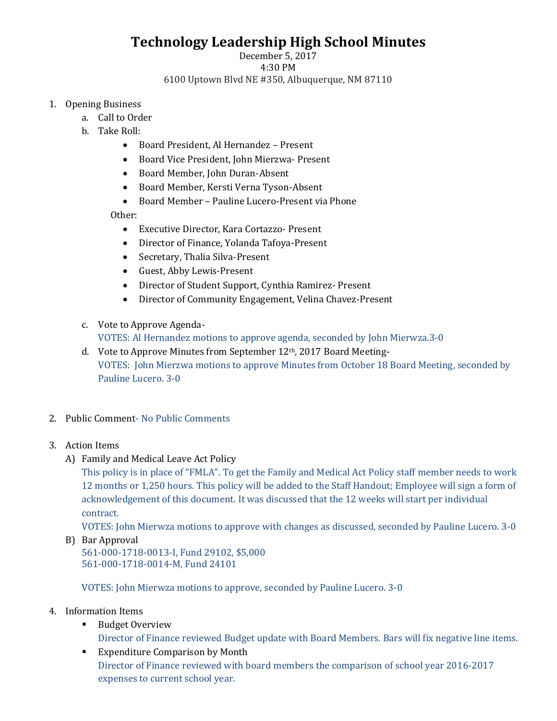## **Technology Leadership High School Minutes**

## December 5, 2017 4:30 PM 6100 Uptown Blvd NE #350, Albuquerque, NM 87110

- 1. Opening Business
	- a. Call to Order
	- b. Take Roll:
		- Board President, Al Hernandez Present
		- Board Vice President, John Mierzwa- Present
		- Board Member, John Duran-Absent
		- Board Member, Kersti Verna Tyson-Absent
		- Board Member Pauline Lucero-Present via Phone

Other:

- Executive Director, Kara Cortazzo- Present
- Director of Finance, Yolanda Tafoya-Present
- Secretary, Thalia Silva-Present
- Guest, Abby Lewis-Present
- Director of Student Support, Cynthia Ramirez- Present
- Director of Community Engagement, Velina Chavez-Present
- c. Vote to Approve Agenda-VOTES: Al Hernandez motions to approve agenda, seconded by John Mierwza.3-0
- d. Vote to Approve Minutes from September 12<sup>th</sup>, 2017 Board Meeting-VOTES: John Mierzwa motions to approve Minutes from October 18 Board Meeting, seconded by Pauline Lucero. 3-0
- 2. Public Comment- No Public Comments
- 3. Action Items
	- A) Family and Medical Leave Act Policy

This policy is in place of "FMLA". To get the Family and Medical Act Policy staff member needs to work 12 months or 1,250 hours. This policy will be added to the Staff Handout; Employee will sign a form of acknowledgement of this document. It was discussed that the 12 weeks will start per individual contract.

VOTES: John Mierwza motions to approve with changes as discussed, seconded by Pauline Lucero. 3-0

B) Bar Approval 561-000-1718-0013-I, Fund 29102, \$5,000 561-000-1718-0014-M, Fund 24101

VOTES: John Mierwza motions to approve, seconded by Pauline Lucero. 3-0

- 4. Information Items
	- Budget Overview Director of Finance reviewed Budget update with Board Members. Bars will fix negative line items.
	- Expenditure Comparison by Month Director of Finance reviewed with board members the comparison of school year 2016-2017 expenses to current school year.